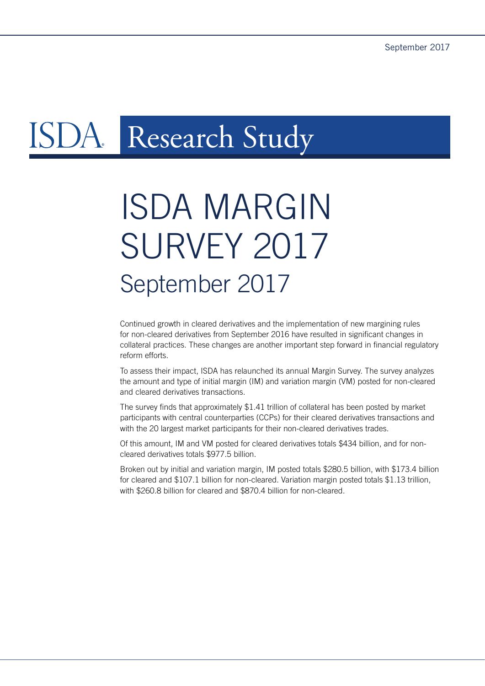# DA. Research Study

# ISDA MARGIN **SURVEY 2017** September 2017

Continued growth in cleared derivatives and the implementation of new margining rules for non-cleared derivatives from September 2016 have resulted in significant changes in collateral practices. These changes are another important step forward in financial regulatory reform efforts.

To assess their impact, ISDA has relaunched its annual Margin Survey. The survey analyzes the amount and type of initial margin (IM) and variation margin (VM) posted for non-cleared and cleared derivatives transactions.

The survey finds that approximately \$1.41 trillion of collateral has been posted by market participants with central counterparties (CCPs) for their cleared derivatives transactions and with the 20 largest market participants for their non-cleared derivatives trades.

Of this amount, IM and VM posted for cleared derivatives totals \$434 billion, and for noncleared derivatives totals \$977.5 billion.

Broken out by initial and variation margin, IM posted totals \$280.5 billion, with \$173.4 billion for cleared and \$107.1 billion for non-cleared. Variation margin posted totals \$1.13 trillion, with \$260.8 billion for cleared and \$870.4 billion for non-cleared.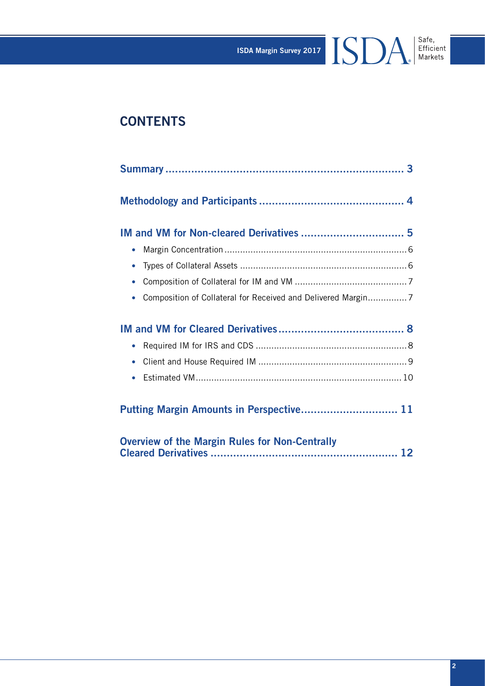ISDA Margin Survey 2017 Safe,

# **CONTENTS**

| $\bullet$                                                                 |
|---------------------------------------------------------------------------|
| $\bullet$                                                                 |
| $\bullet$                                                                 |
| Composition of Collateral for Received and Delivered Margin7<br>$\bullet$ |
|                                                                           |
|                                                                           |
|                                                                           |
| $\bullet$                                                                 |
| $\bullet$                                                                 |
|                                                                           |
| Putting Margin Amounts in Perspective 11                                  |
|                                                                           |
| <b>Overview of the Margin Rules for Non-Centrally</b>                     |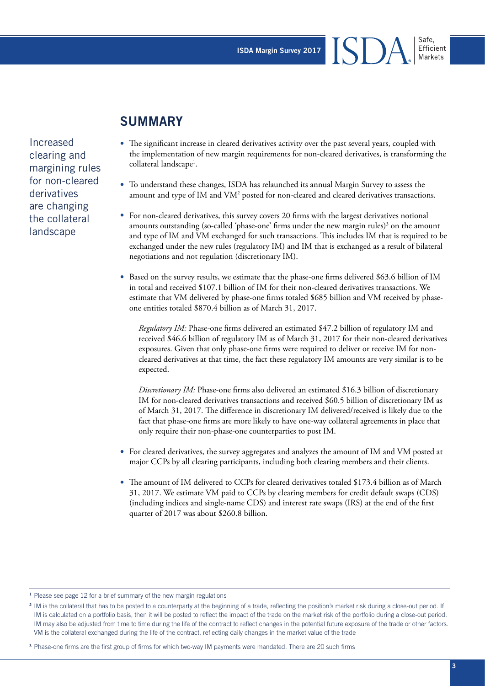ISDA Margin Survey 2017

# **SUMMARY**

Increased clearing and margining rules for non-cleared derivatives are changing the collateral landscape

- The significant increase in cleared derivatives activity over the past several years, coupled with the implementation of new margin requirements for non-cleared derivatives, is transforming the collateral landscape<sup>1</sup>.
- To understand these changes, ISDA has relaunched its annual Margin Survey to assess the amount and type of IM and VM<sup>2</sup> posted for non-cleared and cleared derivatives transactions.
- For non-cleared derivatives, this survey covers 20 firms with the largest derivatives notional amounts outstanding (so-called 'phase-one' firms under the new margin rules)<sup>3</sup> on the amount and type of IM and VM exchanged for such transactions. This includes IM that is required to be exchanged under the new rules (regulatory IM) and IM that is exchanged as a result of bilateral negotiations and not regulation (discretionary IM).
- Based on the survey results, we estimate that the phase-one firms delivered \$63.6 billion of IM in total and received \$107.1 billion of IM for their non-cleared derivatives transactions. We estimate that VM delivered by phase-one firms totaled \$685 billion and VM received by phaseone entities totaled \$870.4 billion as of March 31, 2017.

*Regulatory IM:* Phase-one firms delivered an estimated \$47.2 billion of regulatory IM and received \$46.6 billion of regulatory IM as of March 31, 2017 for their non-cleared derivatives exposures. Given that only phase-one firms were required to deliver or receive IM for noncleared derivatives at that time, the fact these regulatory IM amounts are very similar is to be expected.

*Discretionary IM:* Phase-one firms also delivered an estimated \$16.3 billion of discretionary IM for non-cleared derivatives transactions and received \$60.5 billion of discretionary IM as of March 31, 2017. The difference in discretionary IM delivered/received is likely due to the fact that phase-one firms are more likely to have one-way collateral agreements in place that only require their non-phase-one counterparties to post IM.

- For cleared derivatives, the survey aggregates and analyzes the amount of IM and VM posted at major CCPs by all clearing participants, including both clearing members and their clients.
- The amount of IM delivered to CCPs for cleared derivatives totaled \$173.4 billion as of March 31, 2017. We estimate VM paid to CCPs by clearing members for credit default swaps (CDS) (including indices and single-name CDS) and interest rate swaps (IRS) at the end of the first quarter of 2017 was about \$260.8 billion.

<sup>&</sup>lt;sup>1</sup> Please see page 12 for a brief summary of the new margin regulations

<sup>&</sup>lt;sup>2</sup> IM is the collateral that has to be posted to a counterparty at the beginning of a trade, reflecting the position's market risk during a close-out period. If IM is calculated on a portfolio basis, then it will be posted to reflect the impact of the trade on the market risk of the portfolio during a close-out period. IM may also be adjusted from time to time during the life of the contract to reflect changes in the potential future exposure of the trade or other factors. VM is the collateral exchanged during the life of the contract, reflecting daily changes in the market value of the trade

<sup>&</sup>lt;sup>3</sup> Phase-one firms are the first group of firms for which two-way IM payments were mandated. There are 20 such firms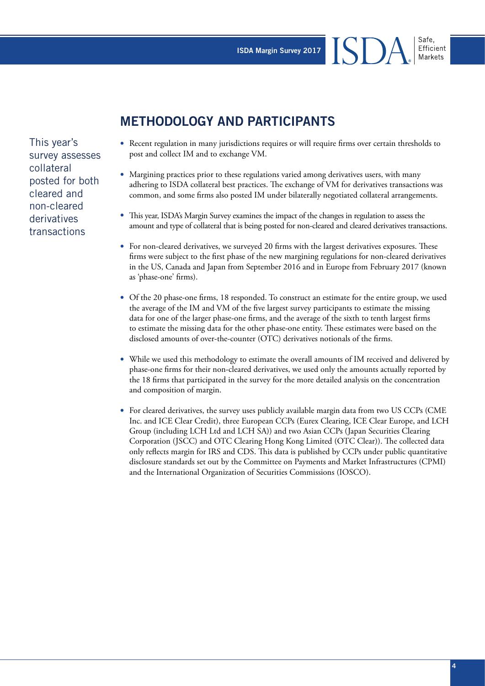**METHODOLOGY AND PARTICIPANTS**

This year's survey assesses collateral posted for both cleared and non-cleared derivatives transactions

- Recent regulation in many jurisdictions requires or will require firms over certain thresholds to post and collect IM and to exchange VM.
- Margining practices prior to these regulations varied among derivatives users, with many adhering to ISDA collateral best practices. The exchange of VM for derivatives transactions was common, and some firms also posted IM under bilaterally negotiated collateral arrangements.
- This year, ISDA's Margin Survey examines the impact of the changes in regulation to assess the amount and type of collateral that is being posted for non-cleared and cleared derivatives transactions.
- For non-cleared derivatives, we surveyed 20 firms with the largest derivatives exposures. These firms were subject to the first phase of the new margining regulations for non-cleared derivatives in the US, Canada and Japan from September 2016 and in Europe from February 2017 (known as 'phase-one' firms).
- Of the 20 phase-one firms, 18 responded. To construct an estimate for the entire group, we used the average of the IM and VM of the five largest survey participants to estimate the missing data for one of the larger phase-one firms, and the average of the sixth to tenth largest firms to estimate the missing data for the other phase-one entity. These estimates were based on the disclosed amounts of over-the-counter (OTC) derivatives notionals of the firms.
- While we used this methodology to estimate the overall amounts of IM received and delivered by phase-one firms for their non-cleared derivatives, we used only the amounts actually reported by the 18 firms that participated in the survey for the more detailed analysis on the concentration and composition of margin.
- For cleared derivatives, the survey uses publicly available margin data from two US CCPs (CME Inc. and ICE Clear Credit), three European CCPs (Eurex Clearing, ICE Clear Europe, and LCH Group (including LCH Ltd and LCH SA)) and two Asian CCPs (Japan Securities Clearing Corporation (JSCC) and OTC Clearing Hong Kong Limited (OTC Clear)). The collected data only reflects margin for IRS and CDS. This data is published by CCPs under public quantitative disclosure standards set out by the Committee on Payments and Market Infrastructures (CPMI) and the International Organization of Securities Commissions (IOSCO).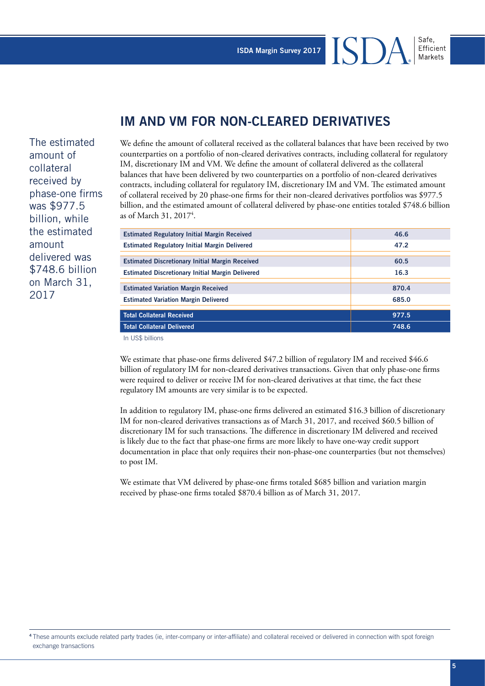ISI

## **IM AND VM FOR NON-CLEARED DERIVATIVES**

The estimated amount of collateral received by phase-one firms was \$977.5 billion, while the estimated amount delivered was \$748.6 billion on March 31, 2017

We define the amount of collateral received as the collateral balances that have been received by two counterparties on a portfolio of non-cleared derivatives contracts, including collateral for regulatory IM, discretionary IM and VM. We define the amount of collateral delivered as the collateral balances that have been delivered by two counterparties on a portfolio of non-cleared derivatives contracts, including collateral for regulatory IM, discretionary IM and VM. The estimated amount of collateral received by 20 phase-one firms for their non-cleared derivatives portfolios was \$977.5 billion, and the estimated amount of collateral delivered by phase-one entities totaled \$748.6 billion as of March 31, 20174 .

| <b>Estimated Regulatory Initial Margin Received</b>     | 46.6  |
|---------------------------------------------------------|-------|
| <b>Estimated Regulatory Initial Margin Delivered</b>    | 47.2  |
|                                                         |       |
| <b>Estimated Discretionary Initial Margin Received</b>  | 60.5  |
| <b>Estimated Discretionary Initial Margin Delivered</b> | 16.3  |
|                                                         |       |
| <b>Estimated Variation Margin Received</b>              | 870.4 |
| <b>Estimated Variation Margin Delivered</b>             | 685.0 |
|                                                         |       |
| <b>Total Collateral Received</b>                        | 977.5 |
| <b>Total Collateral Delivered</b>                       | 748.6 |
| In US\$ billions                                        |       |

We estimate that phase-one firms delivered \$47.2 billion of regulatory IM and received \$46.6 billion of regulatory IM for non-cleared derivatives transactions. Given that only phase-one firms were required to deliver or receive IM for non-cleared derivatives at that time, the fact these regulatory IM amounts are very similar is to be expected.

In addition to regulatory IM, phase-one firms delivered an estimated \$16.3 billion of discretionary IM for non-cleared derivatives transactions as of March 31, 2017, and received \$60.5 billion of discretionary IM for such transactions. The difference in discretionary IM delivered and received is likely due to the fact that phase-one firms are more likely to have one-way credit support documentation in place that only requires their non-phase-one counterparties (but not themselves) to post IM.

We estimate that VM delivered by phase-one firms totaled \$685 billion and variation margin received by phase-one firms totaled \$870.4 billion as of March 31, 2017.

Safe.

<sup>4</sup>These amounts exclude related party trades (ie, inter-company or inter-affiliate) and collateral received or delivered in connection with spot foreign exchange transactions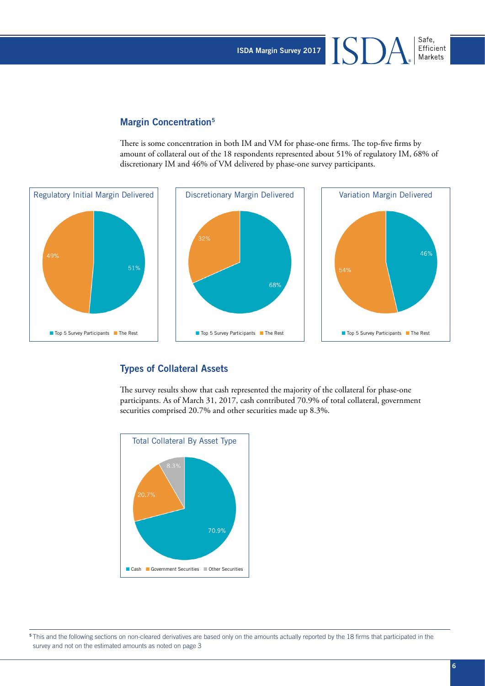ISDA Margin Survey 2017

#### Margin Concentration<sup>5</sup>

There is some concentration in both IM and VM for phase-one firms. The top-five firms by amount of collateral out of the 18 respondents represented about 51% of regulatory IM, 68% of discretionary IM and 46% of VM delivered by phase-one survey participants.



#### Types of Collateral Assets

The survey results show that cash represented the majority of the collateral for phase-one participants. As of March 31, 2017, cash contributed 70.9% of total collateral, government securities comprised 20.7% and other securities made up 8.3%.



<sup>5</sup>This and the following sections on non-cleared derivatives are based only on the amounts actually reported by the 18 firms that participated in the survey and not on the estimated amounts as noted on page 3

Safe, Efficient Markets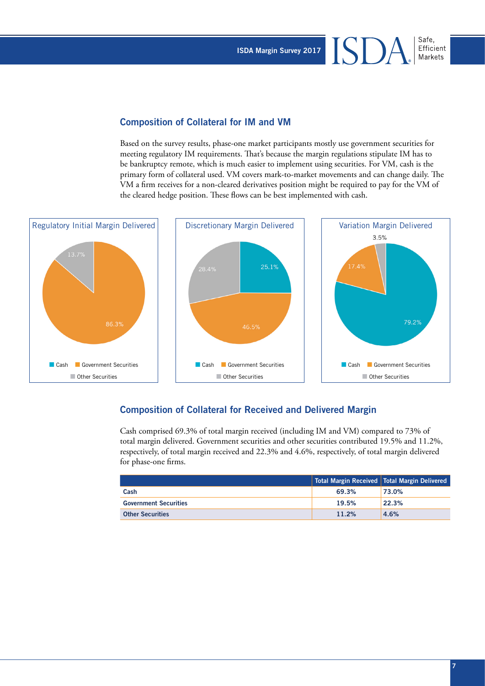ISDA Margin Survey 2017

#### Composition of Collateral for IM and VM

Based on the survey results, phase-one market participants mostly use government securities for meeting regulatory IM requirements. That's because the margin regulations stipulate IM has to be bankruptcy remote, which is much easier to implement using securities. For VM, cash is the primary form of collateral used. VM covers mark-to-market movements and can change daily. The VM a firm receives for a non-cleared derivatives position might be required to pay for the VM of the cleared hedge position. These flows can be best implemented with cash.



#### Composition of Collateral for Received and Delivered Margin

Cash comprised 69.3% of total margin received (including IM and VM) compared to 73% of total margin delivered. Government securities and other securities contributed 19.5% and 11.2%, respectively, of total margin received and 22.3% and 4.6%, respectively, of total margin delivered for phase-one firms.

|                              |       | Total Margin Received   Total Margin Delivered |
|------------------------------|-------|------------------------------------------------|
| Cash                         | 69.3% | 73.0%                                          |
| <b>Government Securities</b> | 19.5% | 22.3%                                          |
| <b>Other Securities</b>      | 11.2% | 4.6%                                           |

Safe. Efficient Markets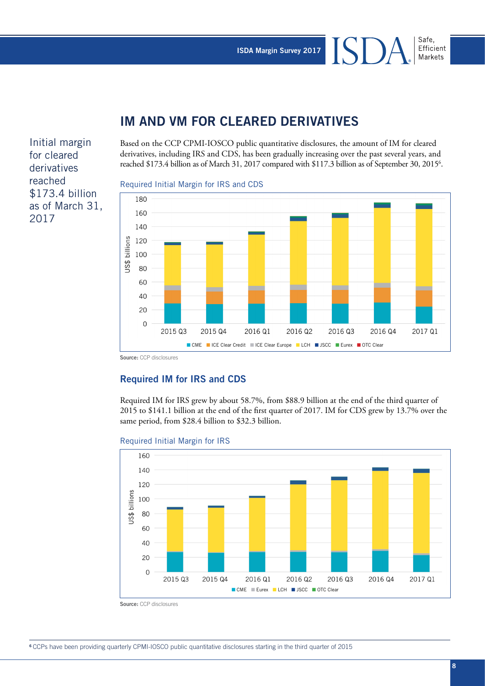### **IM AND VM FOR CLEARED DERIVATIVES**

Initial margin for cleared derivatives reached \$173.4 billion as of March 31, 2017

Based on the CCP CPMI-IOSCO public quantitative disclosures, the amount of IM for cleared derivatives, including IRS and CDS, has been gradually increasing over the past several years, and reached \$173.4 billion as of March 31, 2017 compared with \$117.3 billion as of September 30, 2015<sup>6</sup>.

#### Required Initial Margin for IRS and CDS



**Source:** CCP disclosures

#### Required IM for IRS and CDS

Required IM for IRS grew by about 58.7%, from \$88.9 billion at the end of the third quarter of 2015 to \$141.1 billion at the end of the first quarter of 2017. IM for CDS grew by 13.7% over the same period, from \$28.4 billion to \$32.3 billion.

#### Required Initial Margin for IRS



**Source:** CCP disclosures

Safe, Efficient Markets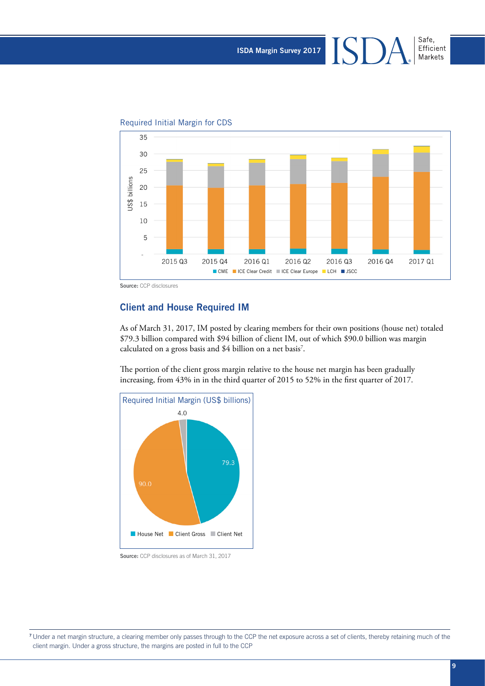151

Safe,

Efficient Markets





**Source:** CCP disclosures

#### Client and House Required IM

As of March 31, 2017, IM posted by clearing members for their own positions (house net) totaled \$79.3 billion compared with \$94 billion of client IM, out of which \$90.0 billion was margin calculated on a gross basis and \$4 billion on a net basis<sup>7</sup>.

The portion of the client gross margin relative to the house net margin has been gradually increasing, from 43% in in the third quarter of 2015 to 52% in the first quarter of 2017.



**Source:** CCP disclosures as of March 31, 2017

7 Under a net margin structure, a clearing member only passes through to the CCP the net exposure across a set of clients, thereby retaining much of the client margin. Under a gross structure, the margins are posted in full to the CCP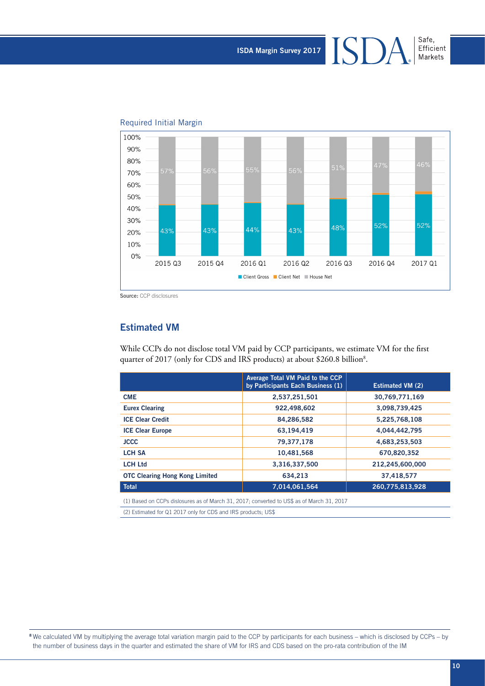Safe, Efficient<br>Markets



#### Required Initial Margin

**Source:** CCP disclosures

#### Estimated VM

While CCPs do not disclose total VM paid by CCP participants, we estimate VM for the first quarter of 2017 (only for CDS and IRS products) at about \$260.8 billion<sup>8</sup>.

|                                       | Average Total VM Paid to the CCP<br>by Participants Each Business (1) | <b>Estimated VM (2)</b> |
|---------------------------------------|-----------------------------------------------------------------------|-------------------------|
| <b>CME</b>                            | 2,537,251,501                                                         | 30,769,771,169          |
| <b>Eurex Clearing</b>                 | 922,498,602                                                           | 3,098,739,425           |
| <b>ICE Clear Credit</b>               | 84,286,582                                                            | 5,225,768,108           |
| <b>ICE Clear Europe</b>               | 63,194,419                                                            | 4,044,442,795           |
| <b>JCCC</b>                           | 79,377,178                                                            | 4,683,253,503           |
| <b>LCH SA</b>                         | 10,481,568                                                            | 670,820,352             |
| <b>LCH Ltd</b>                        | 3,316,337,500                                                         | 212,245,600,000         |
| <b>OTC Clearing Hong Kong Limited</b> | 634.213                                                               | 37,418,577              |
| <b>Total</b>                          | 7,014,061,564                                                         | 260,775,813,928         |
|                                       |                                                                       |                         |

(1) Based on CCPs dislosures as of March 31, 2017; converted to US\$ as of March 31, 2017

(2) Estimated for Q1 2017 only for CDS and IRS products; US\$

<sup>8</sup> We calculated VM by multiplying the average total variation margin paid to the CCP by participants for each business – which is disclosed by CCPs – by the number of business days in the quarter and estimated the share of VM for IRS and CDS based on the pro-rata contribution of the IM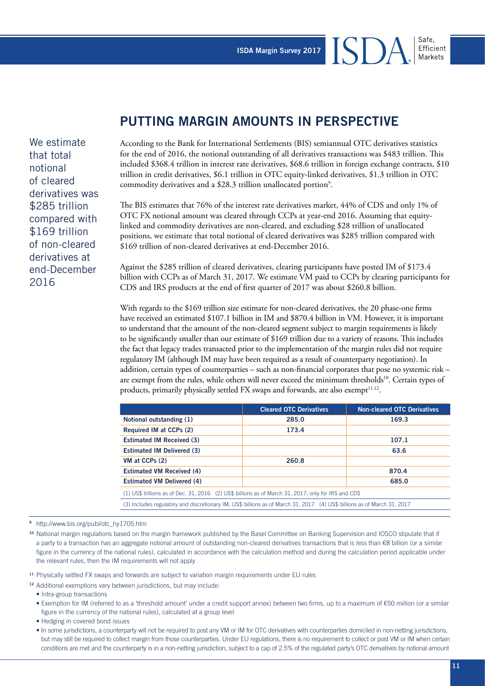# **PUTTING MARGIN AMOUNTS IN PERSPECTIVE**

According to the Bank for International Settlements (BIS) semiannual OTC derivatives statistics for the end of 2016, the notional outstanding of all derivatives transactions was \$483 trillion. This included \$368.4 trillion in interest rate derivatives, \$68.6 trillion in foreign exchange contracts, \$10 trillion in credit derivatives, \$6.1 trillion in OTC equity-linked derivatives, \$1.3 trillion in OTC commodity derivatives and a \$28.3 trillion unallocated portion<sup>9</sup>.

The BIS estimates that 76% of the interest rate derivatives market, 44% of CDS and only 1% of OTC FX notional amount was cleared through CCPs at year-end 2016. Assuming that equitylinked and commodity derivatives are non-cleared, and excluding \$28 trillion of unallocated positions, we estimate that total notional of cleared derivatives was \$285 trillion compared with \$169 trillion of non-cleared derivatives at end-December 2016.

Against the \$285 trillion of cleared derivatives, clearing participants have posted IM of \$173.4 billion with CCPs as of March 31, 2017. We estimate VM paid to CCPs by clearing participants for CDS and IRS products at the end of first quarter of 2017 was about \$260.8 billion.

With regards to the \$169 trillion size estimate for non-cleared derivatives, the 20 phase-one firms have received an estimated \$107.1 billion in IM and \$870.4 billion in VM. However, it is important to understand that the amount of the non-cleared segment subject to margin requirements is likely to be significantly smaller than our estimate of \$169 trillion due to a variety of reasons. This includes the fact that legacy trades transacted prior to the implementation of the margin rules did not require regulatory IM (although IM may have been required as a result of counterparty negotiation). In addition, certain types of counterparties – such as non-financial corporates that pose no systemic risk – are exempt from the rules, while others will never exceed the minimum thresholds<sup>10</sup>. Certain types of products, primarily physically settled FX swaps and forwards, are also exempt $11,12$ .

|                                                                                                                         | <b>Cleared OTC Derivatives</b> | <b>Non-cleared OTC Derivatives</b> |  |  |  |
|-------------------------------------------------------------------------------------------------------------------------|--------------------------------|------------------------------------|--|--|--|
| Notional outstanding (1)                                                                                                | 285.0                          | 169.3                              |  |  |  |
| Required IM at CCPs (2)                                                                                                 | 173.4                          |                                    |  |  |  |
| <b>Estimated IM Received (3)</b>                                                                                        |                                | 107.1                              |  |  |  |
| <b>Estimated IM Delivered (3)</b>                                                                                       |                                | 63.6                               |  |  |  |
| VM at CCPs (2)                                                                                                          | 260.8                          |                                    |  |  |  |
| <b>Estimated VM Received (4)</b>                                                                                        |                                | 870.4                              |  |  |  |
| <b>Estimated VM Delivered (4)</b>                                                                                       |                                | 685.0                              |  |  |  |
| (1) US\$ trillions as of Dec. 31, 2016 (2) US\$ billions as of March 31, 2017; only for IRS and CDS                     |                                |                                    |  |  |  |
| (3) Includes regulatory and discretionary IM; US\$ billions as of March 31, 2017 (4) US\$ billions as of March 31, 2017 |                                |                                    |  |  |  |
|                                                                                                                         |                                |                                    |  |  |  |

<sup>9</sup>http://www.bis.org/publ/otc\_hy1705.htm

<sup>10</sup> National margin regulations based on the margin framework published by the Basel Committee on Banking Supervision and IOSCO stipulate that if a party to a transaction has an aggregate notional amount of outstanding non-cleared derivatives transactions that is less than €8 billion (or a similar figure in the currency of the national rules), calculated in accordance with the calculation method and during the calculation period applicable under the relevant rules, then the IM requirements will not apply

<sup>11</sup> Physically settled FX swaps and forwards are subject to variation margin requirements under EU rules

<sup>12</sup> Additional exemptions vary between jurisdictions, but may include:

• Intra-group transactions

- Exemption for IM (referred to as a 'threshold amount' under a credit support annex) between two firms, up to a maximum of €50 million (or a similar figure in the currency of the national rules), calculated at a group level
- Hedging in covered bond issues
- In some jurisdictions, a counterparty will not be required to post any VM or IM for OTC derivatives with counterparties domiciled in non-netting jurisdictions, but may still be required to collect margin from those counterparties. Under EU regulations, there is no requirement to collect or post VM or IM when certain conditions are met and the counterparty is in a non-netting jurisdiction, subject to a cap of 2.5% of the regulated party's OTC derivatives by notional amount

We estimate that total notional of cleared derivatives was \$285 trillion compared with \$169 trillion of non-cleared derivatives at end-December 2016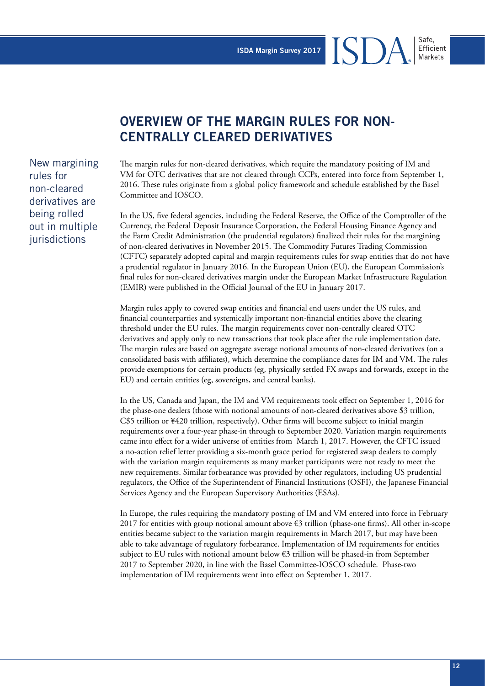# **OVERVIEW OF THE MARGIN RULES FOR NON-CENTRALLY CLEARED DERIVATIVES**

The margin rules for non-cleared derivatives, which require the mandatory positing of IM and VM for OTC derivatives that are not cleared through CCPs, entered into force from September 1, 2016. These rules originate from a global policy framework and schedule established by the Basel Committee and IOSCO.

In the US, five federal agencies, including the Federal Reserve, the Office of the Comptroller of the Currency, the Federal Deposit Insurance Corporation, the Federal Housing Finance Agency and the Farm Credit Administration (the prudential regulators) finalized their rules for the margining of non-cleared derivatives in November 2015. The Commodity Futures Trading Commission (CFTC) separately adopted capital and margin requirements rules for swap entities that do not have a prudential regulator in January 2016. In the European Union (EU), the European Commission's final rules for non-cleared derivatives margin under the European Market Infrastructure Regulation (EMIR) were published in the Official Journal of the EU in January 2017.

Margin rules apply to covered swap entities and financial end users under the US rules, and financial counterparties and systemically important non-financial entities above the clearing threshold under the EU rules. The margin requirements cover non-centrally cleared OTC derivatives and apply only to new transactions that took place after the rule implementation date. The margin rules are based on aggregate average notional amounts of non-cleared derivatives (on a consolidated basis with affiliates), which determine the compliance dates for IM and VM. The rules provide exemptions for certain products (eg, physically settled FX swaps and forwards, except in the EU) and certain entities (eg, sovereigns, and central banks).

In the US, Canada and Japan, the IM and VM requirements took effect on September 1, 2016 for the phase-one dealers (those with notional amounts of non-cleared derivatives above \$3 trillion, C\$5 trillion or ¥420 trillion, respectively). Other firms will become subject to initial margin requirements over a four-year phase-in through to September 2020. Variation margin requirements came into effect for a wider universe of entities from March 1, 2017. However, the CFTC issued a no-action relief letter providing a six-month grace period for registered swap dealers to comply with the variation margin requirements as many market participants were not ready to meet the new requirements. Similar forbearance was provided by other regulators, including US prudential regulators, the Office of the Superintendent of Financial Institutions (OSFI), the Japanese Financial Services Agency and the European Supervisory Authorities (ESAs).

In Europe, the rules requiring the mandatory posting of IM and VM entered into force in February 2017 for entities with group notional amount above  $\epsilon$ 3 trillion (phase-one firms). All other in-scope entities became subject to the variation margin requirements in March 2017, but may have been able to take advantage of regulatory forbearance. Implementation of IM requirements for entities subject to EU rules with notional amount below  $\epsilon$ 3 trillion will be phased-in from September 2017 to September 2020, in line with the Basel Committee-IOSCO schedule. Phase-two implementation of IM requirements went into effect on September 1, 2017.

New margining rules for non-cleared derivatives are being rolled out in multiple iurisdictions

Safe,

Efficient Markets

ISD